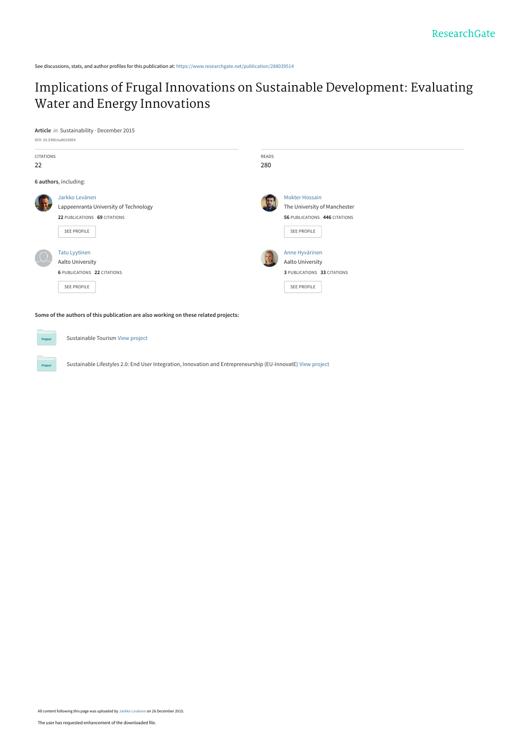See discussions, stats, and author profiles for this publication at: [https://www.researchgate.net/publication/288039514](https://www.researchgate.net/publication/288039514_Implications_of_Frugal_Innovations_on_Sustainable_Development_Evaluating_Water_and_Energy_Innovations?enrichId=rgreq-1a94151e2ed172e5df32815d7cbe530a-XXX&enrichSource=Y292ZXJQYWdlOzI4ODAzOTUxNDtBUzozMTA5ODcyNzY2NTI1NDRAMTQ1MTE1NjU1MjMxOQ%3D%3D&el=1_x_2&_esc=publicationCoverPdf)

## [Implications of Frugal Innovations on Sustainable Development: Evaluating](https://www.researchgate.net/publication/288039514_Implications_of_Frugal_Innovations_on_Sustainable_Development_Evaluating_Water_and_Energy_Innovations?enrichId=rgreq-1a94151e2ed172e5df32815d7cbe530a-XXX&enrichSource=Y292ZXJQYWdlOzI4ODAzOTUxNDtBUzozMTA5ODcyNzY2NTI1NDRAMTQ1MTE1NjU1MjMxOQ%3D%3D&el=1_x_3&_esc=publicationCoverPdf) Water and Energy Innovations

**Article** in Sustainability · December 2015



**Some of the authors of this publication are also working on these related projects:**

Sustainable Tourism [View project](https://www.researchgate.net/project/Sustainable-Tourism-3?enrichId=rgreq-1a94151e2ed172e5df32815d7cbe530a-XXX&enrichSource=Y292ZXJQYWdlOzI4ODAzOTUxNDtBUzozMTA5ODcyNzY2NTI1NDRAMTQ1MTE1NjU1MjMxOQ%3D%3D&el=1_x_9&_esc=publicationCoverPdf)

Sustainable Lifestyles 2.0: End User Integration, Innovation and Entrepreneurship (EU-InnovatE) [View project](https://www.researchgate.net/project/Sustainable-Lifestyles-20-End-User-Integration-Innovation-and-Entrepreneurship-EU-InnovatE?enrichId=rgreq-1a94151e2ed172e5df32815d7cbe530a-XXX&enrichSource=Y292ZXJQYWdlOzI4ODAzOTUxNDtBUzozMTA5ODcyNzY2NTI1NDRAMTQ1MTE1NjU1MjMxOQ%3D%3D&el=1_x_9&_esc=publicationCoverPdf)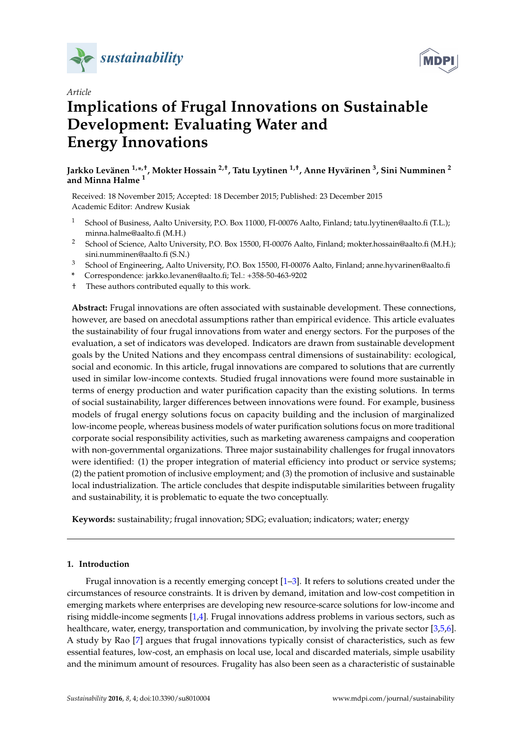



## *Article*

# **Implications of Frugal Innovations on Sustainable Development: Evaluating Water and Energy Innovations**

## **Jarkko Levänen 1,\* ,†, Mokter Hossain 2,†, Tatu Lyytinen 1,†, Anne Hyvärinen <sup>3</sup> , Sini Numminen <sup>2</sup> and Minna Halme <sup>1</sup>**

Received: 18 November 2015; Accepted: 18 December 2015; Published: 23 December 2015 Academic Editor: Andrew Kusiak

- <sup>1</sup> School of Business, Aalto University, P.O. Box 11000, FI-00076 Aalto, Finland; tatu.lyytinen@aalto.fi (T.L.); minna.halme@aalto.fi (M.H.)
- <sup>2</sup> School of Science, Aalto University, P.O. Box 15500, FI-00076 Aalto, Finland; mokter.hossain@aalto.fi (M.H.); sini.numminen@aalto.fi (S.N.)
- <sup>3</sup> School of Engineering, Aalto University, P.O. Box 15500, FI-00076 Aalto, Finland; anne.hyvarinen@aalto.fi
- **\*** Correspondence: jarkko.levanen@aalto.fi; Tel.: +358-50-463-9202
- † These authors contributed equally to this work.

**Abstract:** Frugal innovations are often associated with sustainable development. These connections, however, are based on anecdotal assumptions rather than empirical evidence. This article evaluates the sustainability of four frugal innovations from water and energy sectors. For the purposes of the evaluation, a set of indicators was developed. Indicators are drawn from sustainable development goals by the United Nations and they encompass central dimensions of sustainability: ecological, social and economic. In this article, frugal innovations are compared to solutions that are currently used in similar low-income contexts. Studied frugal innovations were found more sustainable in terms of energy production and water purification capacity than the existing solutions. In terms of social sustainability, larger differences between innovations were found. For example, business models of frugal energy solutions focus on capacity building and the inclusion of marginalized low-income people, whereas business models of water purification solutions focus on more traditional corporate social responsibility activities, such as marketing awareness campaigns and cooperation with non-governmental organizations. Three major sustainability challenges for frugal innovators were identified: (1) the proper integration of material efficiency into product or service systems; (2) the patient promotion of inclusive employment; and (3) the promotion of inclusive and sustainable local industrialization. The article concludes that despite indisputable similarities between frugality and sustainability, it is problematic to equate the two conceptually.

**Keywords:** sustainability; frugal innovation; SDG; evaluation; indicators; water; energy

## **1. Introduction**

Frugal innovation is a recently emerging concept  $[1-3]$  $[1-3]$ . It refers to solutions created under the circumstances of resource constraints. It is driven by demand, imitation and low-cost competition in emerging markets where enterprises are developing new resource-scarce solutions for low-income and rising middle-income segments [\[1,](#page-15-0)[4\]](#page-16-0). Frugal innovations address problems in various sectors, such as healthcare, water, energy, transportation and communication, by involving the private sector [\[3,](#page-15-1)[5,](#page-16-1)[6\]](#page-16-2). A study by Rao [\[7\]](#page-16-3) argues that frugal innovations typically consist of characteristics, such as few essential features, low-cost, an emphasis on local use, local and discarded materials, simple usability and the minimum amount of resources. Frugality has also been seen as a characteristic of sustainable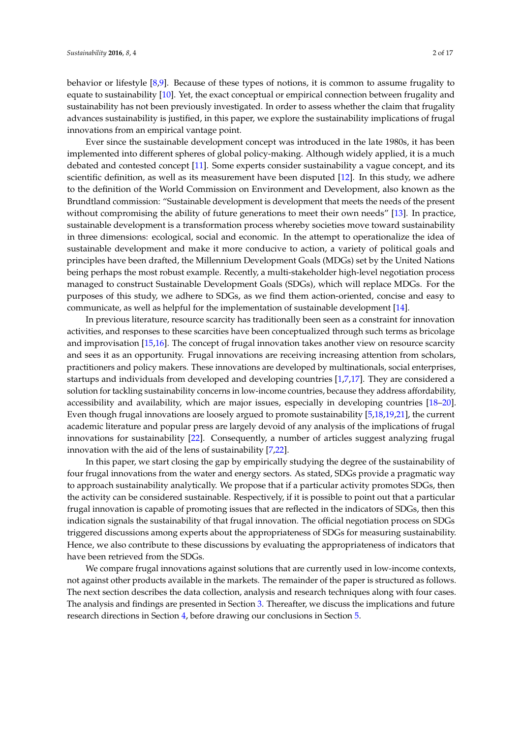behavior or lifestyle [\[8](#page-16-4)[,9\]](#page-16-5). Because of these types of notions, it is common to assume frugality to equate to sustainability [\[10\]](#page-16-6). Yet, the exact conceptual or empirical connection between frugality and sustainability has not been previously investigated. In order to assess whether the claim that frugality advances sustainability is justified, in this paper, we explore the sustainability implications of frugal innovations from an empirical vantage point.

Ever since the sustainable development concept was introduced in the late 1980s, it has been implemented into different spheres of global policy-making. Although widely applied, it is a much debated and contested concept [\[11\]](#page-16-7). Some experts consider sustainability a vague concept, and its scientific definition, as well as its measurement have been disputed [\[12\]](#page-16-8). In this study, we adhere to the definition of the World Commission on Environment and Development, also known as the Brundtland commission: "Sustainable development is development that meets the needs of the present without compromising the ability of future generations to meet their own needs" [\[13\]](#page-16-9). In practice, sustainable development is a transformation process whereby societies move toward sustainability in three dimensions: ecological, social and economic. In the attempt to operationalize the idea of sustainable development and make it more conducive to action, a variety of political goals and principles have been drafted, the Millennium Development Goals (MDGs) set by the United Nations being perhaps the most robust example. Recently, a multi-stakeholder high-level negotiation process managed to construct Sustainable Development Goals (SDGs), which will replace MDGs. For the purposes of this study, we adhere to SDGs, as we find them action-oriented, concise and easy to communicate, as well as helpful for the implementation of sustainable development [\[14\]](#page-16-10).

In previous literature, resource scarcity has traditionally been seen as a constraint for innovation activities, and responses to these scarcities have been conceptualized through such terms as bricolage and improvisation [\[15,](#page-16-11)[16\]](#page-16-12). The concept of frugal innovation takes another view on resource scarcity and sees it as an opportunity. Frugal innovations are receiving increasing attention from scholars, practitioners and policy makers. These innovations are developed by multinationals, social enterprises, startups and individuals from developed and developing countries [\[1](#page-15-0)[,7](#page-16-3)[,17\]](#page-16-13). They are considered a solution for tackling sustainability concerns in low-income countries, because they address affordability, accessibility and availability, which are major issues, especially in developing countries [\[18–](#page-16-14)[20\]](#page-16-15). Even though frugal innovations are loosely argued to promote sustainability [\[5,](#page-16-1)[18,](#page-16-14)[19,](#page-16-16)[21\]](#page-16-17), the current academic literature and popular press are largely devoid of any analysis of the implications of frugal innovations for sustainability [\[22\]](#page-16-18). Consequently, a number of articles suggest analyzing frugal innovation with the aid of the lens of sustainability [\[7,](#page-16-3)[22\]](#page-16-18).

In this paper, we start closing the gap by empirically studying the degree of the sustainability of four frugal innovations from the water and energy sectors. As stated, SDGs provide a pragmatic way to approach sustainability analytically. We propose that if a particular activity promotes SDGs, then the activity can be considered sustainable. Respectively, if it is possible to point out that a particular frugal innovation is capable of promoting issues that are reflected in the indicators of SDGs, then this indication signals the sustainability of that frugal innovation. The official negotiation process on SDGs triggered discussions among experts about the appropriateness of SDGs for measuring sustainability. Hence, we also contribute to these discussions by evaluating the appropriateness of indicators that have been retrieved from the SDGs.

We compare frugal innovations against solutions that are currently used in low-income contexts, not against other products available in the markets. The remainder of the paper is structured as follows. The next section describes the data collection, analysis and research techniques along with four cases. The analysis and findings are presented in Section [3.](#page-6-0) Thereafter, we discuss the implications and future research directions in Section [4,](#page-9-0) before drawing our conclusions in Section [5.](#page-11-0)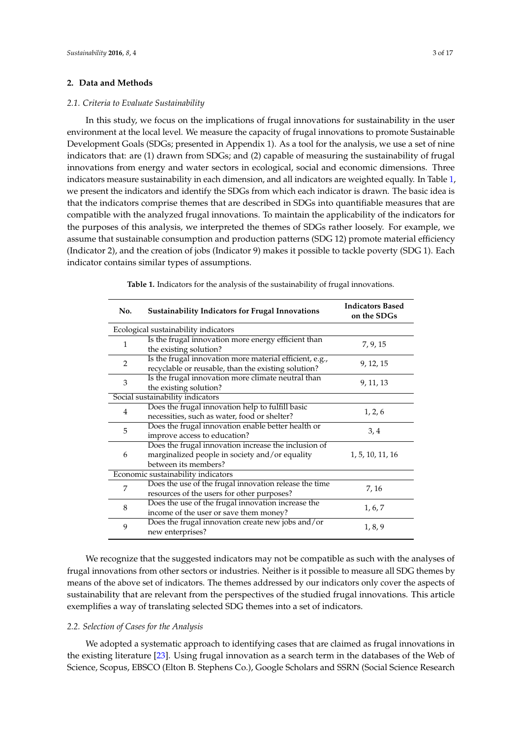## **2. Data and Methods**

#### *2.1. Criteria to Evaluate Sustainability*

In this study, we focus on the implications of frugal innovations for sustainability in the user environment at the local level. We measure the capacity of frugal innovations to promote Sustainable Development Goals (SDGs; presented in Appendix 1). As a tool for the analysis, we use a set of nine indicators that: are (1) drawn from SDGs; and (2) capable of measuring the sustainability of frugal innovations from energy and water sectors in ecological, social and economic dimensions. Three indicators measure sustainability in each dimension, and all indicators are weighted equally. In Table [1,](#page-3-0) we present the indicators and identify the SDGs from which each indicator is drawn. The basic idea is that the indicators comprise themes that are described in SDGs into quantifiable measures that are compatible with the analyzed frugal innovations. To maintain the applicability of the indicators for the purposes of this analysis, we interpreted the themes of SDGs rather loosely. For example, we assume that sustainable consumption and production patterns (SDG 12) promote material efficiency (Indicator 2), and the creation of jobs (Indicator 9) makes it possible to tackle poverty (SDG 1). Each indicator contains similar types of assumptions.

<span id="page-3-0"></span>

| No.            | <b>Sustainability Indicators for Frugal Innovations</b>                                                                        | <b>Indicators Based</b><br>on the SDGs |  |
|----------------|--------------------------------------------------------------------------------------------------------------------------------|----------------------------------------|--|
|                | Ecological sustainability indicators                                                                                           |                                        |  |
| $\mathbf{1}$   | Is the frugal innovation more energy efficient than<br>the existing solution?                                                  | 7, 9, 15                               |  |
| $\overline{2}$ | Is the frugal innovation more material efficient, e.g.,<br>recyclable or reusable, than the existing solution?                 | 9, 12, 15                              |  |
| 3              | Is the frugal innovation more climate neutral than<br>the existing solution?                                                   | 9, 11, 13                              |  |
|                | Social sustainability indicators                                                                                               |                                        |  |
| 4              | Does the frugal innovation help to fulfill basic                                                                               | 1, 2, 6                                |  |
|                | necessities, such as water, food or shelter?                                                                                   |                                        |  |
| 5              | Does the frugal innovation enable better health or                                                                             | 3,4                                    |  |
|                | improve access to education?                                                                                                   |                                        |  |
| 6              | Does the frugal innovation increase the inclusion of<br>marginalized people in society and/or equality<br>between its members? | 1, 5, 10, 11, 16                       |  |
|                | Economic sustainability indicators                                                                                             |                                        |  |
| 7              | Does the use of the frugal innovation release the time<br>resources of the users for other purposes?                           | 7, 16                                  |  |
| 8              | Does the use of the frugal innovation increase the<br>income of the user or save them money?                                   | 1, 6, 7                                |  |
| 9              | Does the frugal innovation create new jobs and/or<br>new enterprises?                                                          | 1, 8, 9                                |  |

**Table 1.** Indicators for the analysis of the sustainability of frugal innovations.

We recognize that the suggested indicators may not be compatible as such with the analyses of frugal innovations from other sectors or industries. Neither is it possible to measure all SDG themes by means of the above set of indicators. The themes addressed by our indicators only cover the aspects of sustainability that are relevant from the perspectives of the studied frugal innovations. This article exemplifies a way of translating selected SDG themes into a set of indicators.

## *2.2. Selection of Cases for the Analysis*

We adopted a systematic approach to identifying cases that are claimed as frugal innovations in the existing literature [\[23\]](#page-16-19). Using frugal innovation as a search term in the databases of the Web of Science, Scopus, EBSCO (Elton B. Stephens Co.), Google Scholars and SSRN (Social Science Research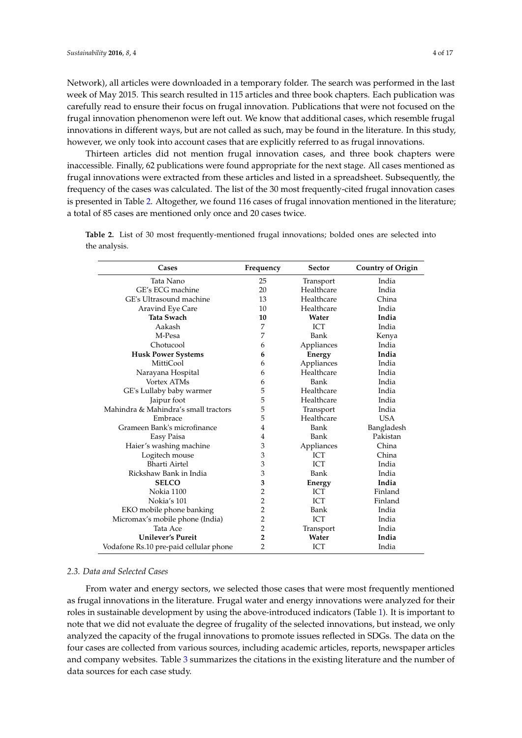Network), all articles were downloaded in a temporary folder. The search was performed in the last week of May 2015. This search resulted in 115 articles and three book chapters. Each publication was carefully read to ensure their focus on frugal innovation. Publications that were not focused on the frugal innovation phenomenon were left out. We know that additional cases, which resemble frugal innovations in different ways, but are not called as such, may be found in the literature. In this study, however, we only took into account cases that are explicitly referred to as frugal innovations.

Thirteen articles did not mention frugal innovation cases, and three book chapters were inaccessible. Finally, 62 publications were found appropriate for the next stage. All cases mentioned as frugal innovations were extracted from these articles and listed in a spreadsheet. Subsequently, the frequency of the cases was calculated. The list of the 30 most frequently-cited frugal innovation cases is presented in Table [2.](#page-4-0) Altogether, we found 116 cases of frugal innovation mentioned in the literature; a total of 85 cases are mentioned only once and 20 cases twice.

| Cases                                  | Frequency      | <b>Sector</b> | <b>Country of Origin</b> |
|----------------------------------------|----------------|---------------|--------------------------|
| Tata Nano                              | 25             | Transport     | India                    |
| GE's ECG machine                       | 20             | Healthcare    | India                    |
| GE's Ultrasound machine                | 13             | Healthcare    | China                    |
| Aravind Eye Care                       | 10             | Healthcare    | India                    |
| Tata Swach                             | 10             | Water         | India                    |
| Aakash                                 | 7              | ICT           | India                    |
| M-Pesa                                 | 7              | Bank          | Kenya                    |
| Chotucool                              | 6              | Appliances    | India                    |
| <b>Husk Power Systems</b>              | 6              | Energy        | India                    |
| <b>MittiCool</b>                       | 6              | Appliances    | India                    |
| Narayana Hospital                      | 6              | Healthcare    | India                    |
| <b>Vortex ATMs</b>                     | 6              | Bank          | India                    |
| GE's Lullaby baby warmer               | 5              | Healthcare    | India                    |
| Jaipur foot                            | 5              | Healthcare    | India                    |
| Mahindra & Mahindra's small tractors   | 5              | Transport     | India                    |
| Embrace                                | 5              | Healthcare    | <b>USA</b>               |
| Grameen Bank's microfinance            | 4              | Bank          | Bangladesh               |
| Easy Paisa                             | 4              | Bank          | Pakistan                 |
| Haier's washing machine                | 3              | Appliances    | China                    |
| Logitech mouse                         | 3              | ICT           | China                    |
| Bharti Airtel                          | 3              | <b>ICT</b>    | India                    |
| Rickshaw Bank in India                 | 3              | Bank          | India                    |
| <b>SELCO</b>                           | 3              | Energy        | India                    |
| Nokia 1100                             | 2              | <b>ICT</b>    | Finland                  |
| Nokia's 101                            | 2              | <b>ICT</b>    | Finland                  |
| EKO mobile phone banking               | $\overline{2}$ | Bank          | India                    |
| Micromax's mobile phone (India)        | 2              | <b>ICT</b>    | India                    |
| Tata Ace                               | $\overline{2}$ | Transport     | India                    |
| <b>Unilever's Pureit</b>               | 2              | Water         | India                    |
| Vodafone Rs.10 pre-paid cellular phone | $\overline{2}$ | ICT           | India                    |

<span id="page-4-0"></span>**Table 2.** List of 30 most frequently-mentioned frugal innovations; bolded ones are selected into the analysis.

## *2.3. Data and Selected Cases*

From water and energy sectors, we selected those cases that were most frequently mentioned as frugal innovations in the literature. Frugal water and energy innovations were analyzed for their roles in sustainable development by using the above-introduced indicators (Table [1\)](#page-3-0). It is important to note that we did not evaluate the degree of frugality of the selected innovations, but instead, we only analyzed the capacity of the frugal innovations to promote issues reflected in SDGs. The data on the four cases are collected from various sources, including academic articles, reports, newspaper articles and company websites. Table [3](#page-5-0) summarizes the citations in the existing literature and the number of data sources for each case study.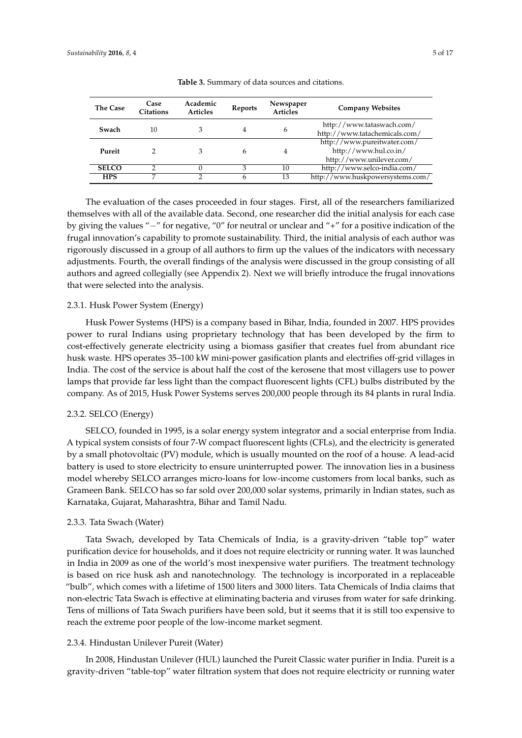<span id="page-5-0"></span>

| <b>The Case</b> | Case<br>Citations | Academic<br><b>Articles</b> | Reports | Newspaper<br><b>Articles</b> | <b>Company Websites</b>                                                          |
|-----------------|-------------------|-----------------------------|---------|------------------------------|----------------------------------------------------------------------------------|
| Swach           | 10                | З                           |         | 6                            | http://www.tataswach.com/<br>http://www.tatachemicals.com/                       |
| Pureit          |                   | З                           | h       | 4                            | http://www.pureitwater.com/<br>http://www.hul.co.in/<br>http://www.unilever.com/ |
| <b>SELCO</b>    | ◠                 |                             | 3       | 10                           | http://www.selco-india.com/                                                      |
| <b>HPS</b>      |                   |                             |         | 13                           | http://www.huskpowersystems.com/                                                 |

**Table 3.** Summary of data sources and citations.

The evaluation of the cases proceeded in four stages. First, all of the researchers familiarized themselves with all of the available data. Second, one researcher did the initial analysis for each case by giving the values " $-$ " for negative, "0" for neutral or unclear and " $+$ " for a positive indication of the frugal innovation's capability to promote sustainability. Third, the initial analysis of each author was rigorously discussed in a group of all authors to firm up the values of the indicators with necessary adjustments. Fourth, the overall findings of the analysis were discussed in the group consisting of all authors and agreed collegially (see Appendix 2). Next we will briefly introduce the frugal innovations that were selected into the analysis.

## 2.3.1. Husk Power System (Energy)

Husk Power Systems (HPS) is a company based in Bihar, India, founded in 2007. HPS provides power to rural Indians using proprietary technology that has been developed by the firm to cost-effectively generate electricity using a biomass gasifier that creates fuel from abundant rice husk waste. HPS operates 35–100 kW mini-power gasification plants and electrifies off-grid villages in India. The cost of the service is about half the cost of the kerosene that most villagers use to power lamps that provide far less light than the compact fluorescent lights (CFL) bulbs distributed by the company. As of 2015, Husk Power Systems serves 200,000 people through its 84 plants in rural India.

#### 2.3.2. SELCO (Energy)

SELCO, founded in 1995, is a solar energy system integrator and a social enterprise from India. A typical system consists of four 7-W compact fluorescent lights (CFLs), and the electricity is generated by a small photovoltaic (PV) module, which is usually mounted on the roof of a house. A lead-acid battery is used to store electricity to ensure uninterrupted power. The innovation lies in a business model whereby SELCO arranges micro-loans for low-income customers from local banks, such as Grameen Bank. SELCO has so far sold over 200,000 solar systems, primarily in Indian states, such as Karnataka, Gujarat, Maharashtra, Bihar and Tamil Nadu.

## 2.3.3. Tata Swach (Water)

Tata Swach, developed by Tata Chemicals of India, is a gravity-driven "table top" water purification device for households, and it does not require electricity or running water. It was launched in India in 2009 as one of the world's most inexpensive water purifiers. The treatment technology is based on rice husk ash and nanotechnology. The technology is incorporated in a replaceable "bulb", which comes with a lifetime of 1500 liters and 3000 liters. Tata Chemicals of India claims that non-electric Tata Swach is effective at eliminating bacteria and viruses from water for safe drinking. Tens of millions of Tata Swach purifiers have been sold, but it seems that it is still too expensive to reach the extreme poor people of the low-income market segment.

#### 2.3.4. Hindustan Unilever Pureit (Water)

In 2008, Hindustan Unilever (HUL) launched the Pureit Classic water purifier in India. Pureit is a gravity-driven "table-top" water filtration system that does not require electricity or running water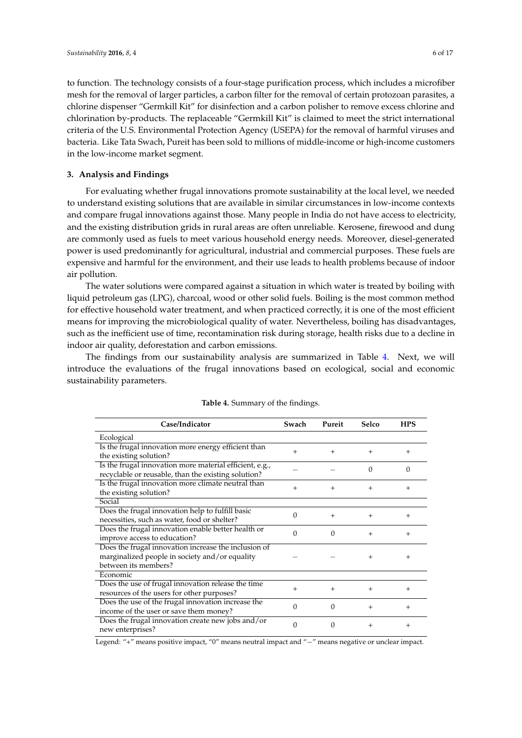to function. The technology consists of a four-stage purification process, which includes a microfiber mesh for the removal of larger particles, a carbon filter for the removal of certain protozoan parasites, a chlorine dispenser "Germkill Kit" for disinfection and a carbon polisher to remove excess chlorine and chlorination by-products. The replaceable "Germkill Kit" is claimed to meet the strict international criteria of the U.S. Environmental Protection Agency (USEPA) for the removal of harmful viruses and bacteria. Like Tata Swach, Pureit has been sold to millions of middle-income or high-income customers in the low-income market segment.

## <span id="page-6-0"></span>**3. Analysis and Findings**

For evaluating whether frugal innovations promote sustainability at the local level, we needed to understand existing solutions that are available in similar circumstances in low-income contexts and compare frugal innovations against those. Many people in India do not have access to electricity, and the existing distribution grids in rural areas are often unreliable. Kerosene, firewood and dung are commonly used as fuels to meet various household energy needs. Moreover, diesel-generated power is used predominantly for agricultural, industrial and commercial purposes. These fuels are expensive and harmful for the environment, and their use leads to health problems because of indoor air pollution.

The water solutions were compared against a situation in which water is treated by boiling with liquid petroleum gas (LPG), charcoal, wood or other solid fuels. Boiling is the most common method for effective household water treatment, and when practiced correctly, it is one of the most efficient means for improving the microbiological quality of water. Nevertheless, boiling has disadvantages, such as the inefficient use of time, recontamination risk during storage, health risks due to a decline in indoor air quality, deforestation and carbon emissions.

The findings from our sustainability analysis are summarized in Table [4.](#page-6-1) Next, we will introduce the evaluations of the frugal innovations based on ecological, social and economic sustainability parameters.

<span id="page-6-1"></span>

| Case/Indicator                                          | Swach    | Pureit   | Selco    | <b>HPS</b> |
|---------------------------------------------------------|----------|----------|----------|------------|
| Ecological                                              |          |          |          |            |
| Is the frugal innovation more energy efficient than     | $+$      | $^{+}$   | $^{+}$   | $^{+}$     |
| the existing solution?                                  |          |          |          |            |
| Is the frugal innovation more material efficient, e.g., |          |          | $\Omega$ | $\Omega$   |
| recyclable or reusable, than the existing solution?     |          |          |          |            |
| Is the frugal innovation more climate neutral than      | $+$      | $^{+}$   | $^{+}$   | $^{+}$     |
| the existing solution?                                  |          |          |          |            |
| Social                                                  |          |          |          |            |
| Does the frugal innovation help to fulfill basic        | 0        | $^{+}$   | $^{+}$   | $^{+}$     |
| necessities, such as water, food or shelter?            |          |          |          |            |
| Does the frugal innovation enable better health or      | $\Omega$ | $\Omega$ | $^{+}$   | $^{+}$     |
| improve access to education?                            |          |          |          |            |
| Does the frugal innovation increase the inclusion of    |          |          |          |            |
| marginalized people in society and/or equality          |          |          | $^{+}$   | $^{+}$     |
| between its members?                                    |          |          |          |            |
| Economic                                                |          |          |          |            |
| Does the use of frugal innovation release the time      | $^{+}$   | $^{+}$   | $^{+}$   | $^{+}$     |
| resources of the users for other purposes?              |          |          |          |            |
| Does the use of the frugal innovation increase the      | 0        | $\Omega$ | $^{+}$   | $^{+}$     |
| income of the user or save them money?                  |          |          |          |            |
| Does the frugal innovation create new jobs and/or       | 0        | 0        |          |            |
| new enterprises?                                        |          |          | $^+$     | $^{+}$     |

|  | Table 4. Summary of the findings. |  |  |
|--|-----------------------------------|--|--|
|--|-----------------------------------|--|--|

Legend: "+" means positive impact, "0" means neutral impact and "-" means negative or unclear impact.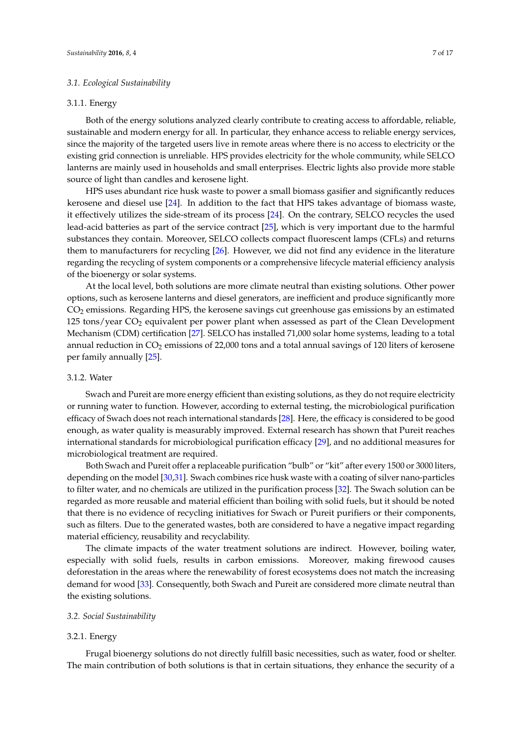## *3.1. Ecological Sustainability*

## 3.1.1. Energy

Both of the energy solutions analyzed clearly contribute to creating access to affordable, reliable, sustainable and modern energy for all. In particular, they enhance access to reliable energy services, since the majority of the targeted users live in remote areas where there is no access to electricity or the existing grid connection is unreliable. HPS provides electricity for the whole community, while SELCO lanterns are mainly used in households and small enterprises. Electric lights also provide more stable source of light than candles and kerosene light.

HPS uses abundant rice husk waste to power a small biomass gasifier and significantly reduces kerosene and diesel use [\[24\]](#page-16-20). In addition to the fact that HPS takes advantage of biomass waste, it effectively utilizes the side-stream of its process [\[24\]](#page-16-20). On the contrary, SELCO recycles the used lead-acid batteries as part of the service contract [\[25\]](#page-16-21), which is very important due to the harmful substances they contain. Moreover, SELCO collects compact fluorescent lamps (CFLs) and returns them to manufacturers for recycling [\[26\]](#page-16-22). However, we did not find any evidence in the literature regarding the recycling of system components or a comprehensive lifecycle material efficiency analysis of the bioenergy or solar systems.

At the local level, both solutions are more climate neutral than existing solutions. Other power options, such as kerosene lanterns and diesel generators, are inefficient and produce significantly more CO<sup>2</sup> emissions. Regarding HPS, the kerosene savings cut greenhouse gas emissions by an estimated 125 tons/year CO<sup>2</sup> equivalent per power plant when assessed as part of the Clean Development Mechanism (CDM) certification [\[27\]](#page-16-23). SELCO has installed 71,000 solar home systems, leading to a total annual reduction in  $CO<sub>2</sub>$  emissions of 22,000 tons and a total annual savings of 120 liters of kerosene per family annually [\[25\]](#page-16-21).

## <span id="page-7-0"></span>3.1.2. Water

Swach and Pureit are more energy efficient than existing solutions, as they do not require electricity or running water to function. However, according to external testing, the microbiological purification efficacy of Swach does not reach international standards [\[28\]](#page-16-24). Here, the efficacy is considered to be good enough, as water quality is measurably improved. External research has shown that Pureit reaches international standards for microbiological purification efficacy [\[29\]](#page-16-25), and no additional measures for microbiological treatment are required.

Both Swach and Pureit offer a replaceable purification "bulb" or "kit" after every 1500 or 3000 liters, depending on the model [\[30](#page-17-0)[,31\]](#page-17-1). Swach combines rice husk waste with a coating of silver nano-particles to filter water, and no chemicals are utilized in the purification process [\[32\]](#page-17-2). The Swach solution can be regarded as more reusable and material efficient than boiling with solid fuels, but it should be noted that there is no evidence of recycling initiatives for Swach or Pureit purifiers or their components, such as filters. Due to the generated wastes, both are considered to have a negative impact regarding material efficiency, reusability and recyclability.

The climate impacts of the water treatment solutions are indirect. However, boiling water, especially with solid fuels, results in carbon emissions. Moreover, making firewood causes deforestation in the areas where the renewability of forest ecosystems does not match the increasing demand for wood [\[33\]](#page-17-3). Consequently, both Swach and Pureit are considered more climate neutral than the existing solutions.

#### *3.2. Social Sustainability*

## <span id="page-7-1"></span>3.2.1. Energy

Frugal bioenergy solutions do not directly fulfill basic necessities, such as water, food or shelter. The main contribution of both solutions is that in certain situations, they enhance the security of a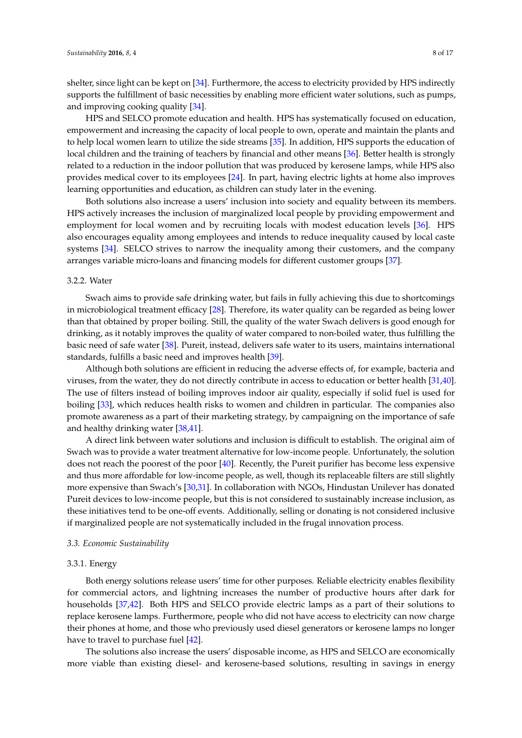shelter, since light can be kept on [\[34\]](#page-17-4). Furthermore, the access to electricity provided by HPS indirectly supports the fulfillment of basic necessities by enabling more efficient water solutions, such as pumps, and improving cooking quality [\[34\]](#page-17-4).

HPS and SELCO promote education and health. HPS has systematically focused on education, empowerment and increasing the capacity of local people to own, operate and maintain the plants and to help local women learn to utilize the side streams [\[35\]](#page-17-5). In addition, HPS supports the education of local children and the training of teachers by financial and other means [\[36\]](#page-17-6). Better health is strongly related to a reduction in the indoor pollution that was produced by kerosene lamps, while HPS also provides medical cover to its employees [\[24\]](#page-16-20). In part, having electric lights at home also improves learning opportunities and education, as children can study later in the evening.

Both solutions also increase a users' inclusion into society and equality between its members. HPS actively increases the inclusion of marginalized local people by providing empowerment and employment for local women and by recruiting locals with modest education levels [\[36\]](#page-17-6). HPS also encourages equality among employees and intends to reduce inequality caused by local caste systems [\[34\]](#page-17-4). SELCO strives to narrow the inequality among their customers, and the company arranges variable micro-loans and financing models for different customer groups [\[37\]](#page-17-7).

## 3.2.2. Water

Swach aims to provide safe drinking water, but fails in fully achieving this due to shortcomings in microbiological treatment efficacy [\[28\]](#page-16-24). Therefore, its water quality can be regarded as being lower than that obtained by proper boiling. Still, the quality of the water Swach delivers is good enough for drinking, as it notably improves the quality of water compared to non-boiled water, thus fulfilling the basic need of safe water [\[38\]](#page-17-8). Pureit, instead, delivers safe water to its users, maintains international standards, fulfills a basic need and improves health [\[39\]](#page-17-9).

Although both solutions are efficient in reducing the adverse effects of, for example, bacteria and viruses, from the water, they do not directly contribute in access to education or better health [\[31,](#page-17-1)[40\]](#page-17-10). The use of filters instead of boiling improves indoor air quality, especially if solid fuel is used for boiling [\[33\]](#page-17-3), which reduces health risks to women and children in particular. The companies also promote awareness as a part of their marketing strategy, by campaigning on the importance of safe and healthy drinking water [\[38](#page-17-8)[,41\]](#page-17-11).

A direct link between water solutions and inclusion is difficult to establish. The original aim of Swach was to provide a water treatment alternative for low-income people. Unfortunately, the solution does not reach the poorest of the poor [\[40\]](#page-17-10). Recently, the Pureit purifier has become less expensive and thus more affordable for low-income people, as well, though its replaceable filters are still slightly more expensive than Swach's [\[30,](#page-17-0)[31\]](#page-17-1). In collaboration with NGOs, Hindustan Unilever has donated Pureit devices to low-income people, but this is not considered to sustainably increase inclusion, as these initiatives tend to be one-off events. Additionally, selling or donating is not considered inclusive if marginalized people are not systematically included in the frugal innovation process.

## *3.3. Economic Sustainability*

#### 3.3.1. Energy

Both energy solutions release users' time for other purposes. Reliable electricity enables flexibility for commercial actors, and lightning increases the number of productive hours after dark for households [\[37](#page-17-7)[,42\]](#page-17-12). Both HPS and SELCO provide electric lamps as a part of their solutions to replace kerosene lamps. Furthermore, people who did not have access to electricity can now charge their phones at home, and those who previously used diesel generators or kerosene lamps no longer have to travel to purchase fuel [\[42\]](#page-17-12).

The solutions also increase the users' disposable income, as HPS and SELCO are economically more viable than existing diesel- and kerosene-based solutions, resulting in savings in energy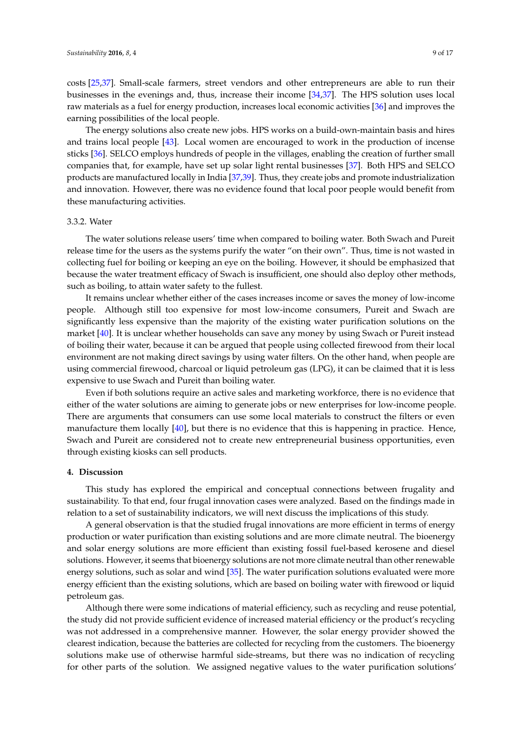costs [\[25](#page-16-21)[,37\]](#page-17-7). Small-scale farmers, street vendors and other entrepreneurs are able to run their businesses in the evenings and, thus, increase their income [\[34](#page-17-4)[,37\]](#page-17-7). The HPS solution uses local raw materials as a fuel for energy production, increases local economic activities [\[36\]](#page-17-6) and improves the earning possibilities of the local people.

The energy solutions also create new jobs. HPS works on a build-own-maintain basis and hires and trains local people [\[43\]](#page-17-13). Local women are encouraged to work in the production of incense sticks [\[36\]](#page-17-6). SELCO employs hundreds of people in the villages, enabling the creation of further small companies that, for example, have set up solar light rental businesses [\[37\]](#page-17-7). Both HPS and SELCO products are manufactured locally in India [\[37](#page-17-7)[,39\]](#page-17-9). Thus, they create jobs and promote industrialization and innovation. However, there was no evidence found that local poor people would benefit from these manufacturing activities.

#### <span id="page-9-1"></span>3.3.2. Water

The water solutions release users' time when compared to boiling water. Both Swach and Pureit release time for the users as the systems purify the water "on their own". Thus, time is not wasted in collecting fuel for boiling or keeping an eye on the boiling. However, it should be emphasized that because the water treatment efficacy of Swach is insufficient, one should also deploy other methods, such as boiling, to attain water safety to the fullest.

It remains unclear whether either of the cases increases income or saves the money of low-income people. Although still too expensive for most low-income consumers, Pureit and Swach are significantly less expensive than the majority of the existing water purification solutions on the market [\[40\]](#page-17-10). It is unclear whether households can save any money by using Swach or Pureit instead of boiling their water, because it can be argued that people using collected firewood from their local environment are not making direct savings by using water filters. On the other hand, when people are using commercial firewood, charcoal or liquid petroleum gas (LPG), it can be claimed that it is less expensive to use Swach and Pureit than boiling water.

Even if both solutions require an active sales and marketing workforce, there is no evidence that either of the water solutions are aiming to generate jobs or new enterprises for low-income people. There are arguments that consumers can use some local materials to construct the filters or even manufacture them locally  $[40]$ , but there is no evidence that this is happening in practice. Hence, Swach and Pureit are considered not to create new entrepreneurial business opportunities, even through existing kiosks can sell products.

## <span id="page-9-0"></span>**4. Discussion**

This study has explored the empirical and conceptual connections between frugality and sustainability. To that end, four frugal innovation cases were analyzed. Based on the findings made in relation to a set of sustainability indicators, we will next discuss the implications of this study.

A general observation is that the studied frugal innovations are more efficient in terms of energy production or water purification than existing solutions and are more climate neutral. The bioenergy and solar energy solutions are more efficient than existing fossil fuel-based kerosene and diesel solutions. However, it seems that bioenergy solutions are not more climate neutral than other renewable energy solutions, such as solar and wind [\[35\]](#page-17-5). The water purification solutions evaluated were more energy efficient than the existing solutions, which are based on boiling water with firewood or liquid petroleum gas.

Although there were some indications of material efficiency, such as recycling and reuse potential, the study did not provide sufficient evidence of increased material efficiency or the product's recycling was not addressed in a comprehensive manner. However, the solar energy provider showed the clearest indication, because the batteries are collected for recycling from the customers. The bioenergy solutions make use of otherwise harmful side-streams, but there was no indication of recycling for other parts of the solution. We assigned negative values to the water purification solutions'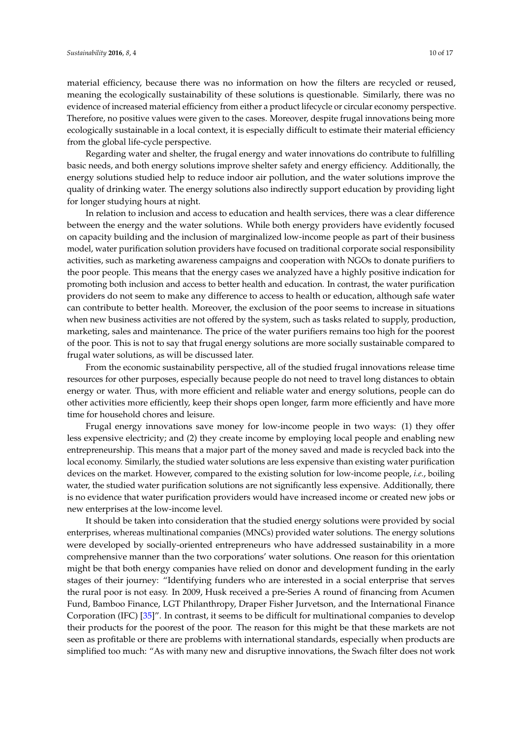material efficiency, because there was no information on how the filters are recycled or reused, meaning the ecologically sustainability of these solutions is questionable. Similarly, there was no evidence of increased material efficiency from either a product lifecycle or circular economy perspective. Therefore, no positive values were given to the cases. Moreover, despite frugal innovations being more ecologically sustainable in a local context, it is especially difficult to estimate their material efficiency from the global life-cycle perspective.

Regarding water and shelter, the frugal energy and water innovations do contribute to fulfilling basic needs, and both energy solutions improve shelter safety and energy efficiency. Additionally, the energy solutions studied help to reduce indoor air pollution, and the water solutions improve the quality of drinking water. The energy solutions also indirectly support education by providing light for longer studying hours at night.

In relation to inclusion and access to education and health services, there was a clear difference between the energy and the water solutions. While both energy providers have evidently focused on capacity building and the inclusion of marginalized low-income people as part of their business model, water purification solution providers have focused on traditional corporate social responsibility activities, such as marketing awareness campaigns and cooperation with NGOs to donate purifiers to the poor people. This means that the energy cases we analyzed have a highly positive indication for promoting both inclusion and access to better health and education. In contrast, the water purification providers do not seem to make any difference to access to health or education, although safe water can contribute to better health. Moreover, the exclusion of the poor seems to increase in situations when new business activities are not offered by the system, such as tasks related to supply, production, marketing, sales and maintenance. The price of the water purifiers remains too high for the poorest of the poor. This is not to say that frugal energy solutions are more socially sustainable compared to frugal water solutions, as will be discussed later.

From the economic sustainability perspective, all of the studied frugal innovations release time resources for other purposes, especially because people do not need to travel long distances to obtain energy or water. Thus, with more efficient and reliable water and energy solutions, people can do other activities more efficiently, keep their shops open longer, farm more efficiently and have more time for household chores and leisure.

Frugal energy innovations save money for low-income people in two ways: (1) they offer less expensive electricity; and (2) they create income by employing local people and enabling new entrepreneurship. This means that a major part of the money saved and made is recycled back into the local economy. Similarly, the studied water solutions are less expensive than existing water purification devices on the market. However, compared to the existing solution for low-income people, *i.e.*, boiling water, the studied water purification solutions are not significantly less expensive. Additionally, there is no evidence that water purification providers would have increased income or created new jobs or new enterprises at the low-income level.

It should be taken into consideration that the studied energy solutions were provided by social enterprises, whereas multinational companies (MNCs) provided water solutions. The energy solutions were developed by socially-oriented entrepreneurs who have addressed sustainability in a more comprehensive manner than the two corporations' water solutions. One reason for this orientation might be that both energy companies have relied on donor and development funding in the early stages of their journey: "Identifying funders who are interested in a social enterprise that serves the rural poor is not easy. In 2009, Husk received a pre-Series A round of financing from Acumen Fund, Bamboo Finance, LGT Philanthropy, Draper Fisher Jurvetson, and the International Finance Corporation (IFC) [\[35\]](#page-17-5)". In contrast, it seems to be difficult for multinational companies to develop their products for the poorest of the poor. The reason for this might be that these markets are not seen as profitable or there are problems with international standards, especially when products are simplified too much: "As with many new and disruptive innovations, the Swach filter does not work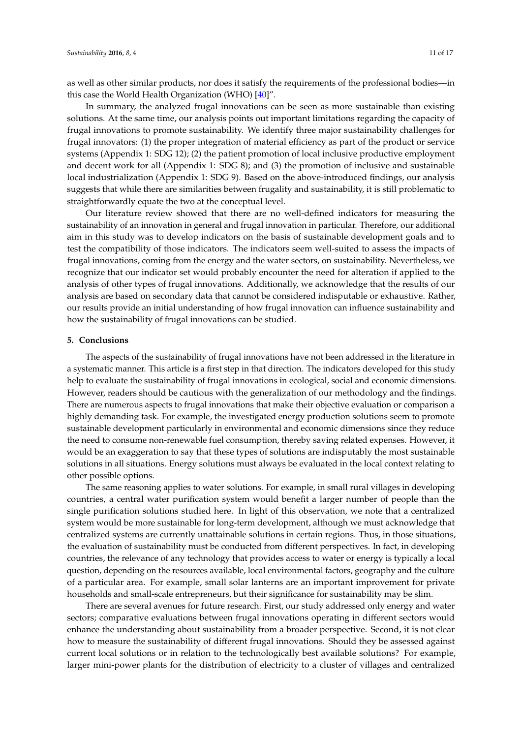as well as other similar products, nor does it satisfy the requirements of the professional bodies—in this case the World Health Organization (WHO) [\[40\]](#page-17-10)".

In summary, the analyzed frugal innovations can be seen as more sustainable than existing solutions. At the same time, our analysis points out important limitations regarding the capacity of frugal innovations to promote sustainability. We identify three major sustainability challenges for frugal innovators: (1) the proper integration of material efficiency as part of the product or service systems (Appendix 1: SDG 12); (2) the patient promotion of local inclusive productive employment and decent work for all (Appendix 1: SDG 8); and (3) the promotion of inclusive and sustainable local industrialization (Appendix 1: SDG 9). Based on the above-introduced findings, our analysis suggests that while there are similarities between frugality and sustainability, it is still problematic to straightforwardly equate the two at the conceptual level.

Our literature review showed that there are no well-defined indicators for measuring the sustainability of an innovation in general and frugal innovation in particular. Therefore, our additional aim in this study was to develop indicators on the basis of sustainable development goals and to test the compatibility of those indicators. The indicators seem well-suited to assess the impacts of frugal innovations, coming from the energy and the water sectors, on sustainability. Nevertheless, we recognize that our indicator set would probably encounter the need for alteration if applied to the analysis of other types of frugal innovations. Additionally, we acknowledge that the results of our analysis are based on secondary data that cannot be considered indisputable or exhaustive. Rather, our results provide an initial understanding of how frugal innovation can influence sustainability and how the sustainability of frugal innovations can be studied.

## <span id="page-11-0"></span>**5. Conclusions**

The aspects of the sustainability of frugal innovations have not been addressed in the literature in a systematic manner. This article is a first step in that direction. The indicators developed for this study help to evaluate the sustainability of frugal innovations in ecological, social and economic dimensions. However, readers should be cautious with the generalization of our methodology and the findings. There are numerous aspects to frugal innovations that make their objective evaluation or comparison a highly demanding task. For example, the investigated energy production solutions seem to promote sustainable development particularly in environmental and economic dimensions since they reduce the need to consume non-renewable fuel consumption, thereby saving related expenses. However, it would be an exaggeration to say that these types of solutions are indisputably the most sustainable solutions in all situations. Energy solutions must always be evaluated in the local context relating to other possible options.

The same reasoning applies to water solutions. For example, in small rural villages in developing countries, a central water purification system would benefit a larger number of people than the single purification solutions studied here. In light of this observation, we note that a centralized system would be more sustainable for long-term development, although we must acknowledge that centralized systems are currently unattainable solutions in certain regions. Thus, in those situations, the evaluation of sustainability must be conducted from different perspectives. In fact, in developing countries, the relevance of any technology that provides access to water or energy is typically a local question, depending on the resources available, local environmental factors, geography and the culture of a particular area. For example, small solar lanterns are an important improvement for private households and small-scale entrepreneurs, but their significance for sustainability may be slim.

There are several avenues for future research. First, our study addressed only energy and water sectors; comparative evaluations between frugal innovations operating in different sectors would enhance the understanding about sustainability from a broader perspective. Second, it is not clear how to measure the sustainability of different frugal innovations. Should they be assessed against current local solutions or in relation to the technologically best available solutions? For example, larger mini-power plants for the distribution of electricity to a cluster of villages and centralized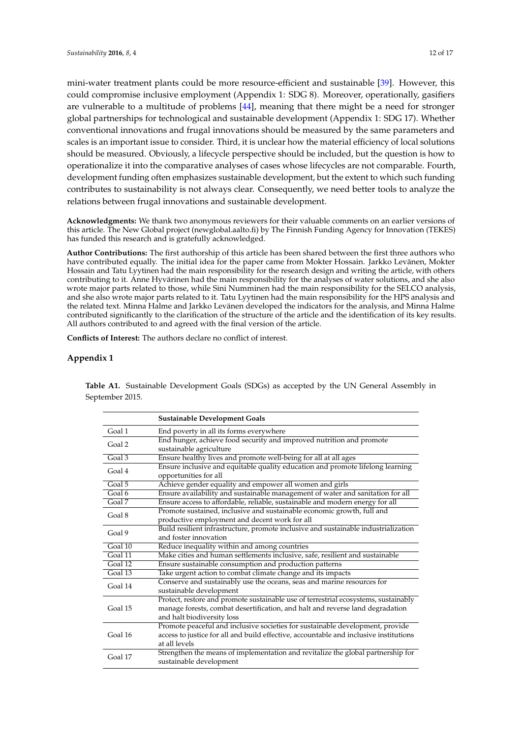mini-water treatment plants could be more resource-efficient and sustainable [\[39\]](#page-17-9). However, this could compromise inclusive employment (Appendix 1: SDG 8). Moreover, operationally, gasifiers are vulnerable to a multitude of problems [\[44\]](#page-17-14), meaning that there might be a need for stronger global partnerships for technological and sustainable development (Appendix 1: SDG 17). Whether conventional innovations and frugal innovations should be measured by the same parameters and scales is an important issue to consider. Third, it is unclear how the material efficiency of local solutions should be measured. Obviously, a lifecycle perspective should be included, but the question is how to operationalize it into the comparative analyses of cases whose lifecycles are not comparable. Fourth, development funding often emphasizes sustainable development, but the extent to which such funding contributes to sustainability is not always clear. Consequently, we need better tools to analyze the relations between frugal innovations and sustainable development.

**Acknowledgments:** We thank two anonymous reviewers for their valuable comments on an earlier versions of this article. The New Global project (newglobal.aalto.fi) by The Finnish Funding Agency for Innovation (TEKES) has funded this research and is gratefully acknowledged.

**Author Contributions:** The first authorship of this article has been shared between the first three authors who have contributed equally. The initial idea for the paper came from Mokter Hossain. Jarkko Levänen, Mokter Hossain and Tatu Lyytinen had the main responsibility for the research design and writing the article, with others contributing to it. Anne Hyvärinen had the main responsibility for the analyses of water solutions, and she also wrote major parts related to those, while Sini Numminen had the main responsibility for the SELCO analysis, and she also wrote major parts related to it. Tatu Lyytinen had the main responsibility for the HPS analysis and the related text. Minna Halme and Jarkko Levänen developed the indicators for the analysis, and Minna Halme contributed significantly to the clarification of the structure of the article and the identification of its key results. All authors contributed to and agreed with the final version of the article.

**Conflicts of Interest:** The authors declare no conflict of interest.

## **Appendix 1**

**Table A1.** Sustainable Development Goals (SDGs) as accepted by the UN General Assembly in September 2015.

|                     | <b>Sustainable Development Goals</b>                                                                                                                                                               |
|---------------------|----------------------------------------------------------------------------------------------------------------------------------------------------------------------------------------------------|
| Goal 1              | End poverty in all its forms everywhere                                                                                                                                                            |
| Goal 2              | End hunger, achieve food security and improved nutrition and promote<br>sustainable agriculture                                                                                                    |
| Goal 3              | Ensure healthy lives and promote well-being for all at all ages                                                                                                                                    |
| Goal 4              | Ensure inclusive and equitable quality education and promote lifelong learning<br>opportunities for all                                                                                            |
| Goal 5              | Achieve gender equality and empower all women and girls                                                                                                                                            |
| Goal 6              | Ensure availability and sustainable management of water and sanitation for all                                                                                                                     |
| Goal $\overline{7}$ | Ensure access to affordable, reliable, sustainable and modern energy for all                                                                                                                       |
| Goal 8              | Promote sustained, inclusive and sustainable economic growth, full and                                                                                                                             |
|                     | productive employment and decent work for all                                                                                                                                                      |
| Goal 9              | Build resilient infrastructure, promote inclusive and sustainable industrialization<br>and foster innovation                                                                                       |
| Goal 10             | Reduce inequality within and among countries                                                                                                                                                       |
| Goal 11             | Make cities and human settlements inclusive, safe, resilient and sustainable                                                                                                                       |
| Goal 12             | Ensure sustainable consumption and production patterns                                                                                                                                             |
| $Ga$ l 13           | Take urgent action to combat climate change and its impacts                                                                                                                                        |
| Goal 14             | Conserve and sustainably use the oceans, seas and marine resources for<br>sustainable development                                                                                                  |
| Goal 15             | Protect, restore and promote sustainable use of terrestrial ecosystems, sustainably<br>manage forests, combat desertification, and halt and reverse land degradation<br>and halt biodiversity loss |
| Goal 16             | Promote peaceful and inclusive societies for sustainable development, provide<br>access to justice for all and build effective, accountable and inclusive institutions<br>at all levels            |
| Goal 17             | Strengthen the means of implementation and revitalize the global partnership for<br>sustainable development                                                                                        |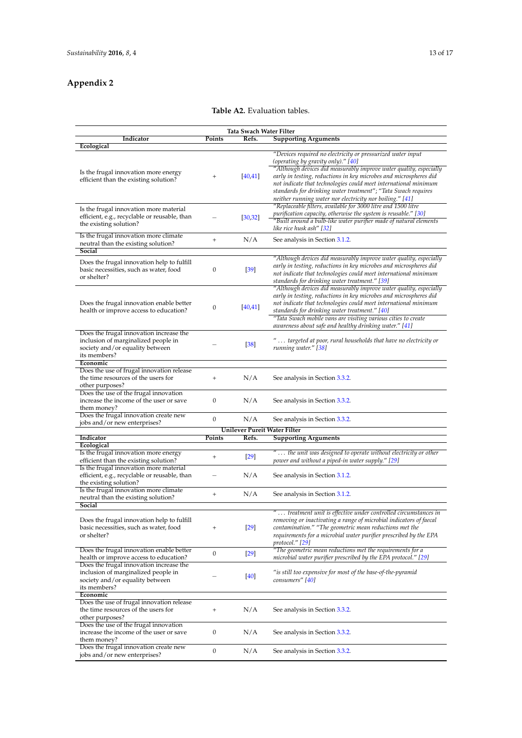## **Appendix 2**

## **Table A2.** Evaluation tables.

| Tata Swach Water Filter                                                                                                           |                   |                              |                                                                                                                                                                                                                                                                                                                                                                                                                                              |  |  |
|-----------------------------------------------------------------------------------------------------------------------------------|-------------------|------------------------------|----------------------------------------------------------------------------------------------------------------------------------------------------------------------------------------------------------------------------------------------------------------------------------------------------------------------------------------------------------------------------------------------------------------------------------------------|--|--|
| Indicator                                                                                                                         | Points            | Refs.                        | <b>Supporting Arguments</b>                                                                                                                                                                                                                                                                                                                                                                                                                  |  |  |
| Ecological                                                                                                                        |                   |                              |                                                                                                                                                                                                                                                                                                                                                                                                                                              |  |  |
| Is the frugal innovation more energy<br>efficient than the existing solution?                                                     | $^{+}$            | [40, 41]                     | "Devices required no electricity or pressurized water input<br>(operating by gravity only)." [40]<br>"Although devices did measurably improve water quality, especially<br>early in testing, reductions in key microbes and microspheres did<br>not indicate that technologies could meet international minimum<br>standards for drinking water treatment"; "Tata Swach requires<br>neither running water nor electricity nor boiling." [41] |  |  |
| Is the frugal innovation more material<br>efficient, e.g., recyclable or reusable, than<br>the existing solution?                 |                   | [30, 32]                     | "Replaceable filters, available for 3000 litre and 1500 litre<br>purification capacity, otherwise the system is reusable." [30]<br>"Built around a bulb-like water purifier made of natural elements<br>like rice husk ash" [32]                                                                                                                                                                                                             |  |  |
| Is the frugal innovation more climate<br>neutral than the existing solution?<br>Social                                            | $^{+}$            | N/A                          | See analysis in Section 3.1.2.                                                                                                                                                                                                                                                                                                                                                                                                               |  |  |
| Does the frugal innovation help to fulfill<br>basic necessities, such as water, food<br>or shelter?                               | 0                 | $[39]$                       | "Although devices did measurably improve water quality, especially<br>early in testing, reductions in key microbes and microspheres did<br>not indicate that technologies could meet international minimum<br>standards for drinking water treatment." [39]                                                                                                                                                                                  |  |  |
| Does the frugal innovation enable better<br>health or improve access to education?                                                | $\boldsymbol{0}$  | [40, 41]                     | "Although devices did measurably improve water quality, especially<br>early in testing, reductions in key microbes and microspheres did<br>not indicate that technologies could meet international minimum<br>standards for drinking water treatment." [40]<br>"Tata Swach mobile vans are visiting various cities to create                                                                                                                 |  |  |
| Does the frugal innovation increase the<br>inclusion of marginalized people in<br>society and/or equality between<br>its members? |                   | $[38]$                       | awareness about safe and healthy drinking water." [41]<br>" targeted at poor, rural households that have no electricity or<br>running water." [38]                                                                                                                                                                                                                                                                                           |  |  |
| Economic                                                                                                                          |                   |                              |                                                                                                                                                                                                                                                                                                                                                                                                                                              |  |  |
| Does the use of frugal innovation release<br>the time resources of the users for<br>other purposes?                               | $^{+}$            | N/A                          | See analysis in Section 3.3.2.                                                                                                                                                                                                                                                                                                                                                                                                               |  |  |
| Does the use of the frugal innovation<br>increase the income of the user or save<br>them money?                                   | $\boldsymbol{0}$  | N/A                          | See analysis in Section 3.3.2.                                                                                                                                                                                                                                                                                                                                                                                                               |  |  |
| Does the frugal innovation create new<br>jobs and/or new enterprises?                                                             | $\mathbf{0}$      | N/A                          | See analysis in Section 3.3.2.                                                                                                                                                                                                                                                                                                                                                                                                               |  |  |
|                                                                                                                                   |                   | Unilever Pureit Water Filter |                                                                                                                                                                                                                                                                                                                                                                                                                                              |  |  |
| Indicator                                                                                                                         | Points            | Refs.                        | <b>Supporting Arguments</b>                                                                                                                                                                                                                                                                                                                                                                                                                  |  |  |
| Ecological                                                                                                                        |                   |                              |                                                                                                                                                                                                                                                                                                                                                                                                                                              |  |  |
| Is the frugal innovation more energy<br>efficient than the existing solution?                                                     | $^{+}$            | $[29]$                       | " the unit was designed to operate without electricity or other<br>power and without a piped-in water supply." [29]                                                                                                                                                                                                                                                                                                                          |  |  |
| Is the frugal innovation more material<br>efficient, e.g., recyclable or reusable, than<br>the existing solution?                 |                   | N/A                          | See analysis in Section 3.1.2.                                                                                                                                                                                                                                                                                                                                                                                                               |  |  |
| Is the frugal innovation more climate<br>neutral than the existing solution?                                                      | $\qquad \qquad +$ | N/A                          | See analysis in Section 3.1.2.                                                                                                                                                                                                                                                                                                                                                                                                               |  |  |
| Social                                                                                                                            |                   |                              |                                                                                                                                                                                                                                                                                                                                                                                                                                              |  |  |
| Does the frugal innovation help to fulfill<br>basic necessities, such as water, food<br>or shelter?                               | $^{+}$            | $[29]$                       | " treatment unit is effective under controlled circumstances in<br>removing or inactivating a range of microbial indicators of faecal<br>contamination." "The geometric mean reductions met the<br>requirements for a microbial water purifier prescribed by the EPA<br>protocol." [29]                                                                                                                                                      |  |  |
| Does the frugal innovation enable better<br>health or improve access to education?                                                | $\boldsymbol{0}$  | $[29]$                       | "The geometric mean reductions met the requirements for a<br>microbial water purifier prescribed by the EPA protocol." [29]                                                                                                                                                                                                                                                                                                                  |  |  |
| Does the frugal innovation increase the<br>inclusion of marginalized people in<br>society and/or equality between<br>its members? |                   | $[40]$                       | "is still too expensive for most of the base-of-the-pyramid<br>consumers" [40]                                                                                                                                                                                                                                                                                                                                                               |  |  |
| Economic<br>Does the use of frugal innovation release<br>the time resources of the users for                                      | $\qquad \qquad +$ | N/A                          | See analysis in Section 3.3.2.                                                                                                                                                                                                                                                                                                                                                                                                               |  |  |
| other purposes?<br>Does the use of the frugal innovation<br>increase the income of the user or save                               | $\boldsymbol{0}$  | N/A                          | See analysis in Section 3.3.2.                                                                                                                                                                                                                                                                                                                                                                                                               |  |  |
| them money?<br>Does the frugal innovation create new<br>jobs and/or new enterprises?                                              | $\mathbf{0}$      | N/A                          | See analysis in Section 3.3.2.                                                                                                                                                                                                                                                                                                                                                                                                               |  |  |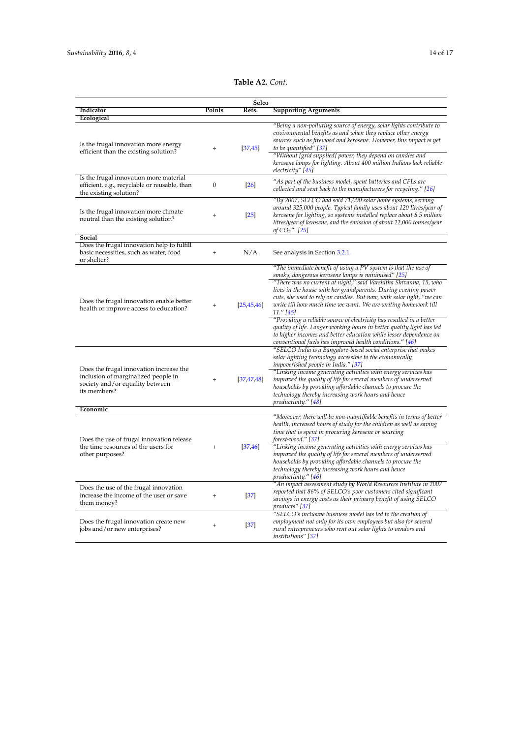| Table A2. Cont. |
|-----------------|
|-----------------|

|                                                                                                                                   |                  | Selco             |                                                                                                                                                                                                                                                                                                                                                                                                                                                                                                                                                                                                                                                                                                       |
|-----------------------------------------------------------------------------------------------------------------------------------|------------------|-------------------|-------------------------------------------------------------------------------------------------------------------------------------------------------------------------------------------------------------------------------------------------------------------------------------------------------------------------------------------------------------------------------------------------------------------------------------------------------------------------------------------------------------------------------------------------------------------------------------------------------------------------------------------------------------------------------------------------------|
| Indicator                                                                                                                         | Points           | Refs.             | <b>Supporting Arguments</b>                                                                                                                                                                                                                                                                                                                                                                                                                                                                                                                                                                                                                                                                           |
| Ecological                                                                                                                        |                  |                   |                                                                                                                                                                                                                                                                                                                                                                                                                                                                                                                                                                                                                                                                                                       |
| Is the frugal innovation more energy<br>efficient than the existing solution?                                                     | $^{+}$           | [37, 45]          | "Being a non-polluting source of energy, solar lights contribute to<br>environmental benefits as and when they replace other energy<br>sources such as firewood and kerosene. However, this impact is yet<br>to be quantified" [37]<br>"Without [grid supplied] power, they depend on candles and<br>kerosene lamps for lighting. About 400 million Indians lack reliable<br>electricity" [45]                                                                                                                                                                                                                                                                                                        |
| Is the frugal innovation more material<br>efficient, e.g., recyclable or reusable, than<br>the existing solution?                 | $\boldsymbol{0}$ | $\left 26\right $ | "As part of the business model, spent batteries and CFLs are<br>collected and sent back to the manufacturers for recycling." $[26]$                                                                                                                                                                                                                                                                                                                                                                                                                                                                                                                                                                   |
| Is the frugal innovation more climate<br>neutral than the existing solution?                                                      | $^{+}$           | $[25]$            | "By 2007, SELCO had sold 71,000 solar home systems, serving<br>around 325,000 people. Typical family uses about 120 litres/year of<br>kerosene for lighting, so systems installed replace about 8.5 million<br>litres/year of kerosene, and the emission of about 22,000 tonnes/year<br>of $CO_2$ ". [25]                                                                                                                                                                                                                                                                                                                                                                                             |
| Social                                                                                                                            |                  |                   |                                                                                                                                                                                                                                                                                                                                                                                                                                                                                                                                                                                                                                                                                                       |
| Does the frugal innovation help to fulfill<br>basic necessities, such as water, food<br>or shelter?                               | $^{+}$           | N/A               | See analysis in Section 3.2.1.                                                                                                                                                                                                                                                                                                                                                                                                                                                                                                                                                                                                                                                                        |
| Does the frugal innovation enable better<br>health or improve access to education?                                                | $^{+}$           | [25, 45, 46]      | "The immediate benefit of using a PV system is that the use of<br>smoky, dangerous kerosene lamps is minimised" [25]<br>"There was no current at night," said Varshitha Shivanna, 15, who<br>lives in the house with her grandparents. During evening power<br>cuts, she used to rely on candles. But now, with solar light, "we can<br>write till how much time we want. We are writing homework till<br>11." [45]<br>"Providing a reliable source of electricity has resulted in a better<br>quality of life. Longer working hours in better quality light has led<br>to higher incomes and better education while lesser dependence on<br>conventional fuels has improved health conditions." [46] |
| Does the frugal innovation increase the<br>inclusion of marginalized people in<br>society and/or equality between<br>its members? | $\ddot{}$        | [37, 47, 48]      | "SELCO India is a Bangalore-based social enterprise that makes<br>solar lighting technology accessible to the economically<br><i>impoverished people in India."</i> [37]<br>"Linking income generating activities with energy services has<br>improved the quality of life for several members of underserved<br>households by providing affordable channels to procure the<br>technology thereby increasing work hours and hence<br>productivity." [48]                                                                                                                                                                                                                                              |
| Economic                                                                                                                          |                  |                   |                                                                                                                                                                                                                                                                                                                                                                                                                                                                                                                                                                                                                                                                                                       |
| Does the use of frugal innovation release<br>the time resources of the users for<br>other purposes?                               | $^{+}$           | [37, 46]          | "Moreover, there will be non-quantifiable benefits in terms of better<br>health, increased hours of study for the children as well as saving<br>time that is spent in procuring kerosene or sourcing<br>$forest$ -wood." $[37]$<br>"Linking income generating activities with energy services has<br>improved the quality of life for several members of underserved                                                                                                                                                                                                                                                                                                                                  |
| Does the use of the frugal innovation<br>increase the income of the user or save                                                  | $\ddot{}$        | $[37]$            | households by providing affordable channels to procure the<br>technology thereby increasing work hours and hence<br>productivity." [46]<br>"An impact assessment study by World Resources Institute in 2007<br>reported that 86% of SELCO's poor customers cited significant                                                                                                                                                                                                                                                                                                                                                                                                                          |
| them money?                                                                                                                       |                  |                   | savings in energy costs as their primary benefit of using SELCO<br>products" [37]<br>"SELCO's inclusive business model has led to the creation of                                                                                                                                                                                                                                                                                                                                                                                                                                                                                                                                                     |
| Does the frugal innovation create new<br>jobs and/or new enterprises?                                                             | $\ddot{}$        | $[37]$            | employment not only for its own employees but also for several<br>rural entrepreneurs who rent out solar lights to vendors and<br>institutions" [37]                                                                                                                                                                                                                                                                                                                                                                                                                                                                                                                                                  |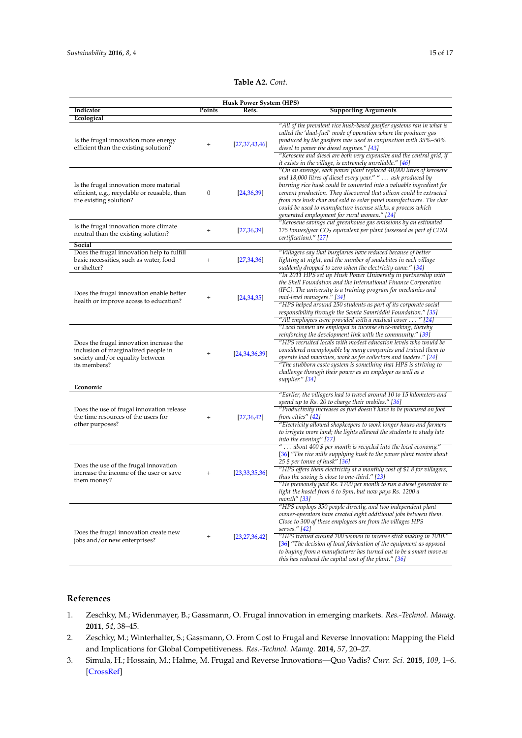## **Table A2.** *Cont.*

| <b>Husk Power System (HPS)</b>                                                                                                    |           |                  |                                                                                                                                                                                                                                                                                                                                                                                                                                                                                         |  |  |  |
|-----------------------------------------------------------------------------------------------------------------------------------|-----------|------------------|-----------------------------------------------------------------------------------------------------------------------------------------------------------------------------------------------------------------------------------------------------------------------------------------------------------------------------------------------------------------------------------------------------------------------------------------------------------------------------------------|--|--|--|
| Indicator                                                                                                                         | Points    | Refs.            | <b>Supporting Arguments</b>                                                                                                                                                                                                                                                                                                                                                                                                                                                             |  |  |  |
| Ecological<br>Is the frugal innovation more energy<br>efficient than the existing solution?                                       | $^{+}$    | [27, 37, 43, 46] | "All of the prevalent rice husk-based gasifier systems ran in what is<br>called the 'dual-fuel' mode of operation where the producer gas<br>produced by the gasifiers was used in conjunction with 35%-50%<br>diesel to power the diesel engines." [43]<br>"Kerosene and diesel are both very expensive and the central grid, if<br>it exists in the village, is extremely unreliable." [46]                                                                                            |  |  |  |
| Is the frugal innovation more material<br>efficient, e.g., recyclable or reusable, than<br>the existing solution?                 | 0         | [24,36,39]       | "On an average, each power plant replaced 40,000 litres of kerosene<br>and 18,000 litres of diesel every year." "  ash produced by<br>burning rice husk could be converted into a valuable ingredient for<br>cement production. They discovered that silicon could be extracted<br>from rice husk char and sold to solar panel manufacturers. The char<br>could be used to manufacture incense sticks, a process which<br>generated employment for rural women." [24]                   |  |  |  |
| Is the frugal innovation more climate<br>neutral than the existing solution?                                                      | $^{+}$    | [27, 36, 39]     | "Kerosene savings cut greenhouse gas emissions by an estimated<br>125 tonnes/year CO <sub>2</sub> equivalent per plant (assessed as part of CDM<br>certification)." [27]                                                                                                                                                                                                                                                                                                                |  |  |  |
| Social<br>Does the frugal innovation help to fulfill<br>basic necessities, such as water, food<br>or shelter?                     | $^{+}$    | [27,34,36]       | "Villagers say that burglaries have reduced because of better<br>lighting at night, and the number of snakebites in each village<br>suddenly dropped to zero when the electricity came." [34]                                                                                                                                                                                                                                                                                           |  |  |  |
| Does the frugal innovation enable better<br>health or improve access to education?                                                | $^{+}$    | [24,34,35]       | "In 2011 HPS set up Husk Power University in partnership with<br>the Shell Foundation and the International Finance Corporation<br>(IFC). The university is a training program for mechanics and<br>mid-level managers." [34]<br>"HPS helped around 250 students as part of its corporate social<br>responsibility through the Samta Samriddhi Foundation." [35]<br>"All employees were provided with a medical cover  " [24]                                                           |  |  |  |
| Does the frugal innovation increase the<br>inclusion of marginalized people in<br>society and/or equality between<br>its members? | $^{+}$    | [24,34,36,39]    | "Local women are employed in incense stick-making, thereby<br>reinforcing the development link with the community." [39]<br>"HPS recruited locals with modest education levels who would be<br>considered unemployable by many companies and trained them to<br>operate load machines, work as fee collectors and loaders." [24]<br>"The stubborn caste system is something that HPS is striving to<br>challenge through their power as an employer as well as a<br>supplier." [34]     |  |  |  |
| Economic                                                                                                                          |           |                  | "Earlier, the villagers had to travel around 10 to 15 kilometers and                                                                                                                                                                                                                                                                                                                                                                                                                    |  |  |  |
| Does the use of frugal innovation release<br>the time resources of the users for<br>other purposes?                               | $^{+}$    | [27,36,42]       | spend up to Rs. 20 to charge their mobiles." [36]<br>"Productivity increases as fuel doesn't have to be procured on foot<br>from cities" [42]<br>"Electricity allowed shopkeepers to work longer hours and farmers<br>to irrigate more land; the lights allowed the students to study late<br>into the evening" [27]                                                                                                                                                                    |  |  |  |
| Does the use of the frugal innovation<br>increase the income of the user or save<br>them money?                                   | $^{+}$    | [23,33,35,36]    | " about 400 $$$ per month is recycled into the local economy."<br>[36] "The rice mills supplying husk to the power plant receive about<br>25 \$ per tonne of husk'' [ <mark>36</mark> ]<br>"HPS offers them electricity at a monthly cost of \$1.8 for villagers,<br>thus the saving is close to one-third." [23]<br>"He previously paid Rs. 1700 per month to run a diesel generator to<br>light the hostel from 6 to 9pm, but now pays Rs. 1200 a<br>month" [33]                      |  |  |  |
| Does the frugal innovation create new<br>jobs and/or new enterprises?                                                             | $\ddot{}$ | [23, 27, 36, 42] | "HPS employs 350 people directly, and two independent plant<br>owner-operators have created eight additional jobs between them.<br>Close to 300 of these employees are from the villages HPS<br>serves.'' [42]<br>"HPS trained around 200 women in incense stick making in 2010."<br>[36] "The decision of local fabrication of the equipment as opposed<br>to buying from a manufacturer has turned out to be a smart move as<br>this has reduced the capital cost of the plant." [36] |  |  |  |

## **References**

- <span id="page-15-0"></span>1. Zeschky, M.; Widenmayer, B.; Gassmann, O. Frugal innovation in emerging markets. *Res.-Technol. Manag.* **2011**, *54*, 38–45.
- 2. Zeschky, M.; Winterhalter, S.; Gassmann, O. From Cost to Frugal and Reverse Innovation: Mapping the Field and Implications for Global Competitiveness. *Res.-Technol. Manag.* **2014**, *57*, 20–27.
- <span id="page-15-1"></span>3. Simula, H.; Hossain, M.; Halme, M. Frugal and Reverse Innovations—Quo Vadis? *Curr. Sci.* **2015**, *109*, 1–6. [\[CrossRef\]](http://dx.doi.org/10.2139/ssrn.2678861)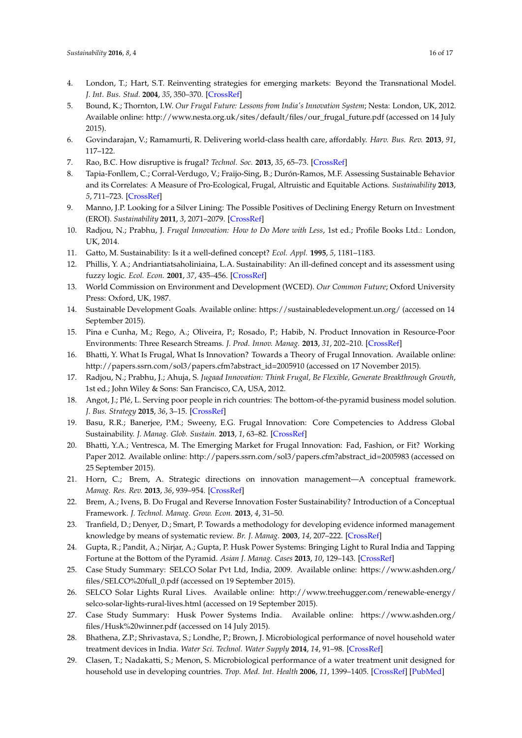- <span id="page-16-0"></span>4. London, T.; Hart, S.T. Reinventing strategies for emerging markets: Beyond the Transnational Model. *J. Int. Bus. Stud.* **2004**, *35*, 350–370. [\[CrossRef\]](http://dx.doi.org/10.1057/palgrave.jibs.8400099)
- <span id="page-16-1"></span>5. Bound, K.; Thornton, I.W. *Our Frugal Future: Lessons from India's Innovation System*; Nesta: London, UK, 2012. Available online: http://www.nesta.org.uk/sites/default/files/our\_frugal\_future.pdf (accessed on 14 July 2015).
- <span id="page-16-2"></span>6. Govindarajan, V.; Ramamurti, R. Delivering world-class health care, affordably. *Harv. Bus. Rev.* **2013**, *91*, 117–122.
- <span id="page-16-3"></span>7. Rao, B.C. How disruptive is frugal? *Technol. Soc.* **2013**, *35*, 65–73. [\[CrossRef\]](http://dx.doi.org/10.1016/j.techsoc.2013.03.003)
- <span id="page-16-4"></span>8. Tapia-Fonllem, C.; Corral-Verdugo, V.; Fraijo-Sing, B.; Durón-Ramos, M.F. Assessing Sustainable Behavior and its Correlates: A Measure of Pro-Ecological, Frugal, Altruistic and Equitable Actions. *Sustainability* **2013**, *5*, 711–723. [\[CrossRef\]](http://dx.doi.org/10.3390/su5020711)
- <span id="page-16-5"></span>9. Manno, J.P. Looking for a Silver Lining: The Possible Positives of Declining Energy Return on Investment (EROI). *Sustainability* **2011**, *3*, 2071–2079. [\[CrossRef\]](http://dx.doi.org/10.3390/su3112071)
- <span id="page-16-6"></span>10. Radjou, N.; Prabhu, J. *Frugal Innovation: How to Do More with Less*, 1st ed.; Profile Books Ltd.: London, UK, 2014.
- <span id="page-16-7"></span>11. Gatto, M. Sustainability: Is it a well-defined concept? *Ecol. Appl.* **1995**, *5*, 1181–1183.
- <span id="page-16-8"></span>12. Phillis, Y. A.; Andriantiatsaholiniaina, L.A. Sustainability: An ill-defined concept and its assessment using fuzzy logic. *Ecol. Econ.* **2001**, *37*, 435–456. [\[CrossRef\]](http://dx.doi.org/10.1016/S0921-8009(00)00290-1)
- <span id="page-16-9"></span>13. World Commission on Environment and Development (WCED). *Our Common Future*; Oxford University Press: Oxford, UK, 1987.
- <span id="page-16-10"></span>14. Sustainable Development Goals. Available online: https://sustainabledevelopment.un.org/ (accessed on 14 September 2015).
- <span id="page-16-11"></span>15. Pina e Cunha, M.; Rego, A.; Oliveira, P.; Rosado, P.; Habib, N. Product Innovation in Resource-Poor Environments: Three Research Streams. *J. Prod. Innov. Manag.* **2013**, *31*, 202–210. [\[CrossRef\]](http://dx.doi.org/10.1111/jpim.12090)
- <span id="page-16-12"></span>16. Bhatti, Y. What Is Frugal, What Is Innovation? Towards a Theory of Frugal Innovation. Available online: http://papers.ssrn.com/sol3/papers.cfm?abstract\_id=2005910 (accessed on 17 November 2015).
- <span id="page-16-13"></span>17. Radjou, N.; Prabhu, J.; Ahuja, S. *Jugaad Innovation: Think Frugal, Be Flexible, Generate Breakthrough Growth*, 1st ed.; John Wiley & Sons: San Francisco, CA, USA, 2012.
- <span id="page-16-14"></span>18. Angot, J.; Plé, L. Serving poor people in rich countries: The bottom-of-the-pyramid business model solution. *J. Bus. Strategy* **2015**, *36*, 3–15. [\[CrossRef\]](http://dx.doi.org/10.1108/JBS-11-2013-0111)
- <span id="page-16-16"></span>19. Basu, R.R.; Banerjee, P.M.; Sweeny, E.G. Frugal Innovation: Core Competencies to Address Global Sustainability. *J. Manag. Glob. Sustain.* **2013**, *1*, 63–82. [\[CrossRef\]](http://dx.doi.org/10.13185/JM2013.01204)
- <span id="page-16-15"></span>20. Bhatti, Y.A.; Ventresca, M. The Emerging Market for Frugal Innovation: Fad, Fashion, or Fit? Working Paper 2012. Available online: http://papers.ssrn.com/sol3/papers.cfm?abstract\_id=2005983 (accessed on 25 September 2015).
- <span id="page-16-17"></span>21. Horn, C.; Brem, A. Strategic directions on innovation management—A conceptual framework. *Manag. Res. Rev.* **2013**, *36*, 939–954. [\[CrossRef\]](http://dx.doi.org/10.1108/MRR-06-2012-0142)
- <span id="page-16-18"></span>22. Brem, A.; Ivens, B. Do Frugal and Reverse Innovation Foster Sustainability? Introduction of a Conceptual Framework. *J. Technol. Manag. Grow. Econ.* **2013**, *4*, 31–50.
- <span id="page-16-19"></span>23. Tranfield, D.; Denyer, D.; Smart, P. Towards a methodology for developing evidence informed management knowledge by means of systematic review. *Br. J. Manag.* **2003**, *14*, 207–222. [\[CrossRef\]](http://dx.doi.org/10.1111/1467-8551.00375)
- <span id="page-16-20"></span>24. Gupta, R.; Pandit, A.; Nirjar, A.; Gupta, P. Husk Power Systems: Bringing Light to Rural India and Tapping Fortune at the Bottom of the Pyramid. *Asian J. Manag. Cases* **2013**, *10*, 129–143. [\[CrossRef\]](http://dx.doi.org/10.1177/0972820113493690)
- <span id="page-16-21"></span>25. Case Study Summary: SELCO Solar Pvt Ltd, India, 2009. Available online: https://www.ashden.org/ files/SELCO%20full\_0.pdf (accessed on 19 September 2015).
- <span id="page-16-22"></span>26. SELCO Solar Lights Rural Lives. Available online: http://www.treehugger.com/renewable-energy/ selco-solar-lights-rural-lives.html (accessed on 19 September 2015).
- <span id="page-16-23"></span>27. Case Study Summary: Husk Power Systems India. Available online: https://www.ashden.org/ files/Husk%20winner.pdf (accessed on 14 July 2015).
- <span id="page-16-24"></span>28. Bhathena, Z.P.; Shrivastava, S.; Londhe, P.; Brown, J. Microbiological performance of novel household water treatment devices in India. *Water Sci. Technol. Water Supply* **2014**, *14*, 91–98. [\[CrossRef\]](http://dx.doi.org/10.2166/ws.2013.177)
- <span id="page-16-25"></span>29. Clasen, T.; Nadakatti, S.; Menon, S. Microbiological performance of a water treatment unit designed for household use in developing countries. *Trop. Med. Int. Health* **2006**, *11*, 1399–1405. [\[CrossRef\]](http://dx.doi.org/10.1111/j.1365-3156.2006.01699.x) [\[PubMed\]](http://www.ncbi.nlm.nih.gov/pubmed/16930262)